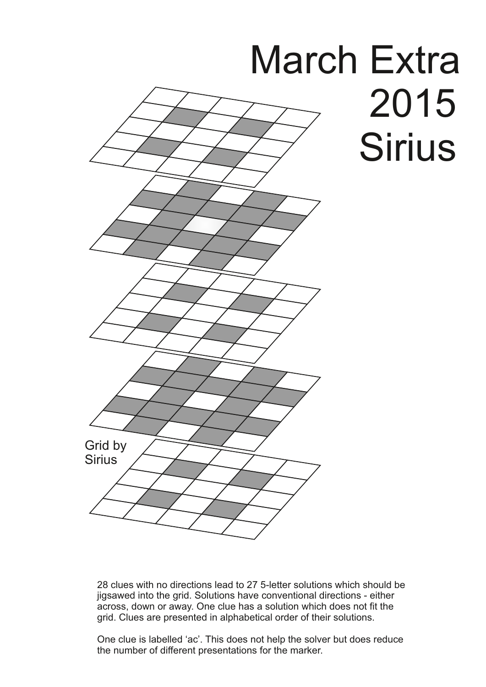

28 clues with no directions lead to 27 5-letter solutions which should be jigsawed into the grid. Solutions have conventional directions - either across, down or away. One clue has a solution which does not fit the grid. Clues are presented in alphabetical order of their solutions.

One clue is labelled 'ac'. This does not help the solver but does reduce the number of different presentations for the marker.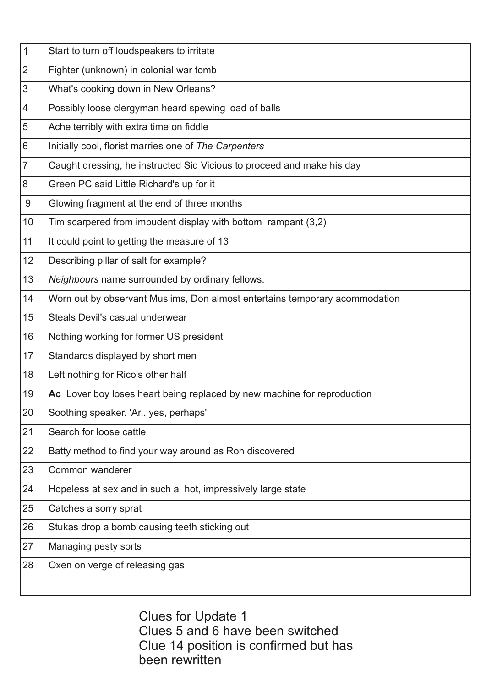| Start to turn off loudspeakers to irritate                                  |
|-----------------------------------------------------------------------------|
| Fighter (unknown) in colonial war tomb                                      |
| What's cooking down in New Orleans?                                         |
| Possibly loose clergyman heard spewing load of balls                        |
| Ache terribly with extra time on fiddle                                     |
| Initially cool, florist marries one of The Carpenters                       |
| Caught dressing, he instructed Sid Vicious to proceed and make his day      |
| Green PC said Little Richard's up for it                                    |
| Glowing fragment at the end of three months                                 |
| Tim scarpered from impudent display with bottom rampant $(3,2)$             |
| It could point to getting the measure of 13                                 |
| Describing pillar of salt for example?                                      |
| Neighbours name surrounded by ordinary fellows.                             |
| Worn out by observant Muslims, Don almost entertains temporary acommodation |
| Steals Devil's casual underwear                                             |
| Nothing working for former US president                                     |
| Standards displayed by short men                                            |
| Left nothing for Rico's other half                                          |
| Ac Lover boy loses heart being replaced by new machine for reproduction     |
| Soothing speaker. 'Ar yes, perhaps'                                         |
| Search for loose cattle                                                     |
| Batty method to find your way around as Ron discovered                      |
| Common wanderer                                                             |
| Hopeless at sex and in such a hot, impressively large state                 |
| Catches a sorry sprat                                                       |
| Stukas drop a bomb causing teeth sticking out                               |
| Managing pesty sorts                                                        |
| Oxen on verge of releasing gas                                              |
|                                                                             |
|                                                                             |

Clues for Update 1 Clues 5 and 6 have been switched Clue 14 position is confirmed but has been rewritten